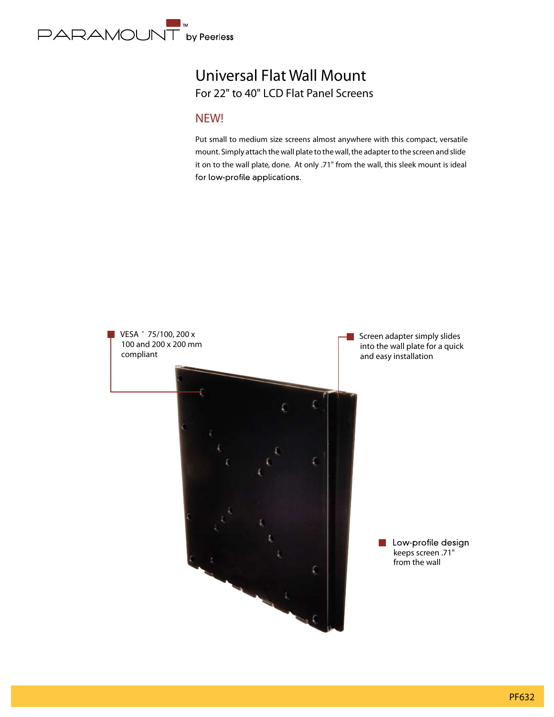

## Universal Flat Wall Mount For 22" to 40" LCD Flat Panel Screens

### **NEW!**

Put small to medium size screens almost anywhere with this compact, versatile mount. Simply attach the wall plate to the wall, the adapter to the screen and slide it on to the wall plate, done. At only .71" from the wall, this sleek mount is ideal for low-profile applications.